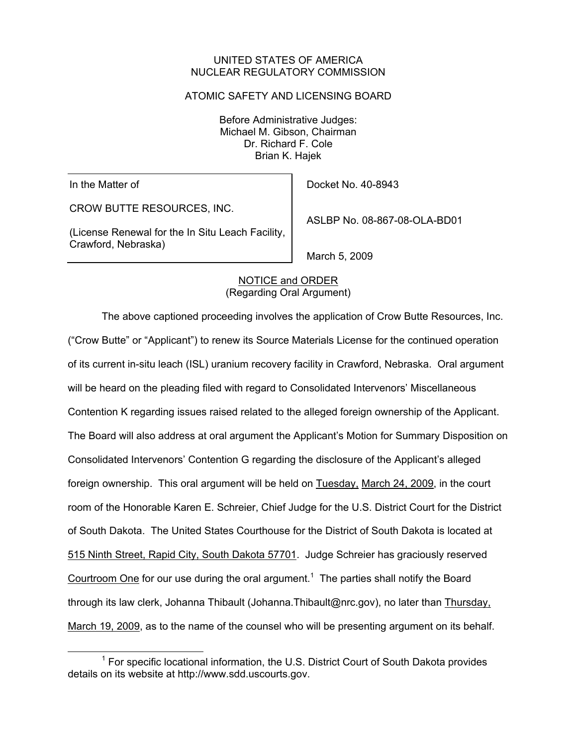## UNITED STATES OF AMERICA NUCLEAR REGULATORY COMMISSION

### ATOMIC SAFETY AND LICENSING BOARD

Before Administrative Judges: Michael M. Gibson, Chairman Dr. Richard F. Cole Brian K. Hajek

In the Matter of

CROW BUTTE RESOURCES, INC.

(License Renewal for the In Situ Leach Facility, Crawford, Nebraska)

Docket No. 40-8943

ASLBP No. 08-867-08-OLA-BD01

March 5, 2009

# NOTICE and ORDER (Regarding Oral Argument)

 The above captioned proceeding involves the application of Crow Butte Resources, Inc. ("Crow Butte" or "Applicant") to renew its Source Materials License for the continued operation of its current in-situ leach (ISL) uranium recovery facility in Crawford, Nebraska. Oral argument will be heard on the pleading filed with regard to Consolidated Intervenors' Miscellaneous Contention K regarding issues raised related to the alleged foreign ownership of the Applicant. The Board will also address at oral argument the Applicant's Motion for Summary Disposition on Consolidated Intervenors' Contention G regarding the disclosure of the Applicant's alleged foreign ownership. This oral argument will be held on Tuesday, March 24, 2009, in the court room of the Honorable Karen E. Schreier, Chief Judge for the U.S. District Court for the District of South Dakota. The United States Courthouse for the District of South Dakota is located at 515 Ninth Street, Rapid City, South Dakota 57701. Judge Schreier has graciously reserved Courtroom One for our use during the oral argument.<sup>1</sup> The parties shall notify the Board through its law clerk, Johanna Thibault (Johanna.Thibault@nrc.gov), no later than Thursday, March 19, 2009, as to the name of the counsel who will be presenting argument on its behalf.

 <sup>1</sup> <sup>1</sup> For specific locational information, the U.S. District Court of South Dakota provides details on its website at http://www.sdd.uscourts.gov.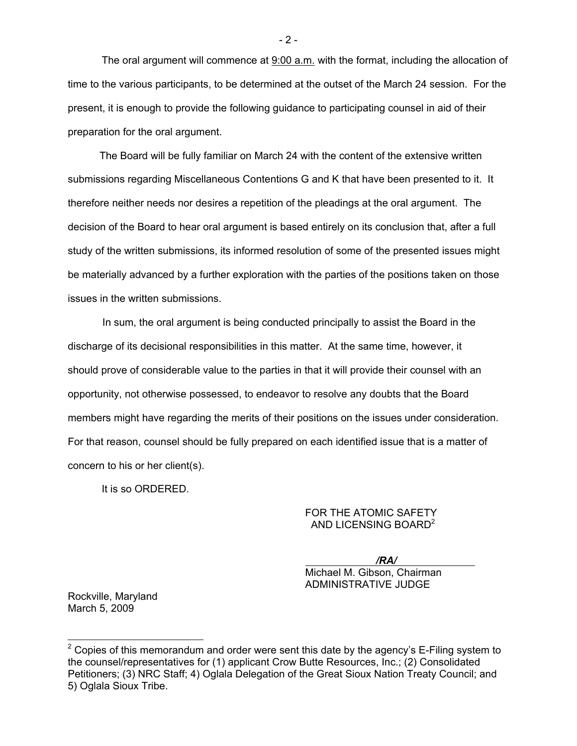The oral argument will commence at  $9:00$  a.m. with the format, including the allocation of time to the various participants, to be determined at the outset of the March 24 session. For the present, it is enough to provide the following guidance to participating counsel in aid of their preparation for the oral argument.

 The Board will be fully familiar on March 24 with the content of the extensive written submissions regarding Miscellaneous Contentions G and K that have been presented to it. It therefore neither needs nor desires a repetition of the pleadings at the oral argument. The decision of the Board to hear oral argument is based entirely on its conclusion that, after a full study of the written submissions, its informed resolution of some of the presented issues might be materially advanced by a further exploration with the parties of the positions taken on those issues in the written submissions.

 In sum, the oral argument is being conducted principally to assist the Board in the discharge of its decisional responsibilities in this matter. At the same time, however, it should prove of considerable value to the parties in that it will provide their counsel with an opportunity, not otherwise possessed, to endeavor to resolve any doubts that the Board members might have regarding the merits of their positions on the issues under consideration. For that reason, counsel should be fully prepared on each identified issue that is a matter of concern to his or her client(s).

It is so ORDERED.

#### FOR THE ATOMIC SAFETY AND LICENSING BOARD<sup>2</sup>

*/RA/* 

Michael M. Gibson, Chairman ADMINISTRATIVE JUDGE

Rockville, Maryland March 5, 2009

l

- 2 -

<sup>&</sup>lt;sup>2</sup> Copies of this memorandum and order were sent this date by the agency's E-Filing system to the counsel/representatives for (1) applicant Crow Butte Resources, Inc.; (2) Consolidated Petitioners; (3) NRC Staff; 4) Oglala Delegation of the Great Sioux Nation Treaty Council; and 5) Oglala Sioux Tribe.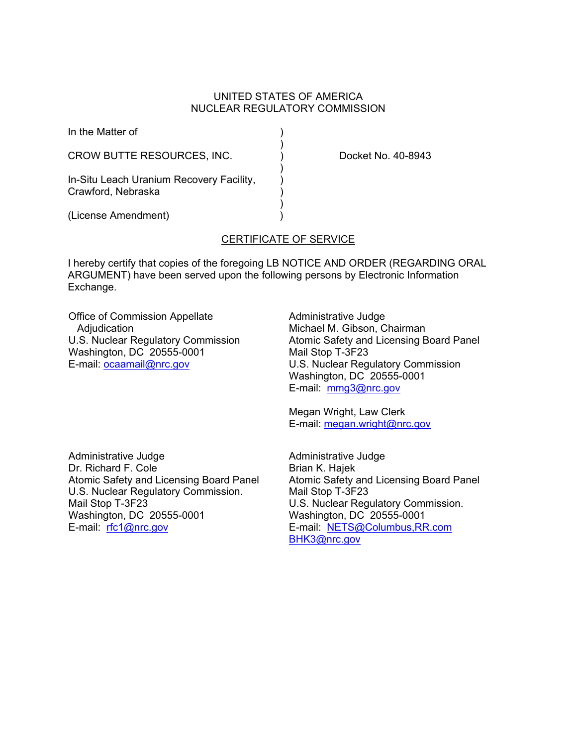### UNITED STATES OF AMERICA NUCLEAR REGULATORY COMMISSION

| In the Matter of                                               |  |
|----------------------------------------------------------------|--|
| CROW BUTTE RESOURCES, INC.                                     |  |
| In-Situ Leach Uranium Recovery Facility,<br>Crawford, Nebraska |  |
| (License Amendment)                                            |  |

Docket No. 40-8943

## CERTIFICATE OF SERVICE

I hereby certify that copies of the foregoing LB NOTICE AND ORDER (REGARDING ORAL ARGUMENT) have been served upon the following persons by Electronic Information Exchange.

Office of Commission Appellate **Adjudication** U.S. Nuclear Regulatory Commission Washington, DC 20555-0001 E-mail: ocaamail@nrc.gov

Administrative Judge Michael M. Gibson, Chairman Atomic Safety and Licensing Board Panel Mail Stop T-3F23 U.S. Nuclear Regulatory Commission Washington, DC 20555-0001 E-mail: mmg3@nrc.gov

Megan Wright, Law Clerk E-mail: megan.wright@nrc.gov

Administrative Judge Dr. Richard F. Cole Atomic Safety and Licensing Board Panel U.S. Nuclear Regulatory Commission. Mail Stop T-3F23 Washington, DC 20555-0001 E-mail: rfc1@nrc.gov

Administrative Judge Brian K. Hajek Atomic Safety and Licensing Board Panel Mail Stop T-3F23 U.S. Nuclear Regulatory Commission. Washington, DC 20555-0001 E-mail: NETS@Columbus,RR.com BHK3@nrc.gov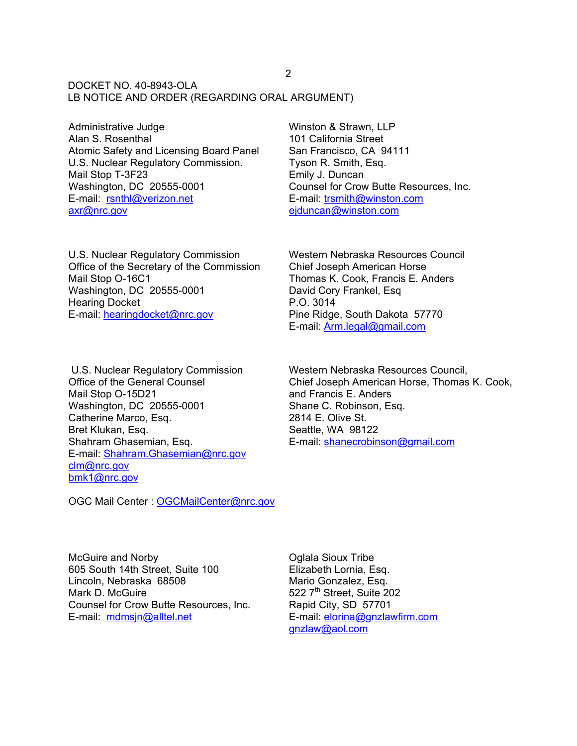DOCKET NO. 40-8943-OLA LB NOTICE AND ORDER (REGARDING ORAL ARGUMENT)

Administrative Judge Alan S. Rosenthal Atomic Safety and Licensing Board Panel U.S. Nuclear Regulatory Commission. Mail Stop T-3F23 Washington, DC 20555-0001 E-mail: rsnthl@verizon.net axr@nrc.gov

U.S. Nuclear Regulatory Commission Office of the Secretary of the Commission Mail Stop O-16C1 Washington, DC 20555-0001 Hearing Docket E-mail: hearingdocket@nrc.gov

 U.S. Nuclear Regulatory Commission Office of the General Counsel Mail Stop O-15D21 Washington, DC 20555-0001 Catherine Marco, Esq. Bret Klukan, Esq. Shahram Ghasemian, Esq. E-mail: Shahram.Ghasemian@nrc.gov clm@nrc.gov bmk1@nrc.gov

OGC Mail Center : OGCMailCenter@nrc.gov

Winston & Strawn, LLP 101 California Street San Francisco, CA 94111 Tyson R. Smith, Esq. Emily J. Duncan Counsel for Crow Butte Resources, Inc. E-mail: trsmith@winston.com ejduncan@winston.com

Western Nebraska Resources Council Chief Joseph American Horse Thomas K. Cook, Francis E. Anders David Cory Frankel, Esq P.O. 3014 Pine Ridge, South Dakota 57770 E-mail: Arm.legal@gmail.com

Western Nebraska Resources Council, Chief Joseph American Horse, Thomas K. Cook, and Francis E. Anders Shane C. Robinson, Esq. 2814 E. Olive St. Seattle, WA 98122 E-mail: shanecrobinson@gmail.com

McGuire and Norby 605 South 14th Street, Suite 100 Lincoln, Nebraska 68508 Mark D. McGuire Counsel for Crow Butte Resources, Inc. E-mail: mdmsjn@alltel.net

Oglala Sioux Tribe Elizabeth Lornia, Esq. Mario Gonzalez, Esq. 522 7<sup>th</sup> Street, Suite 202 Rapid City, SD 57701 E-mail: elorina@gnzlawfirm.com gnzlaw@aol.com